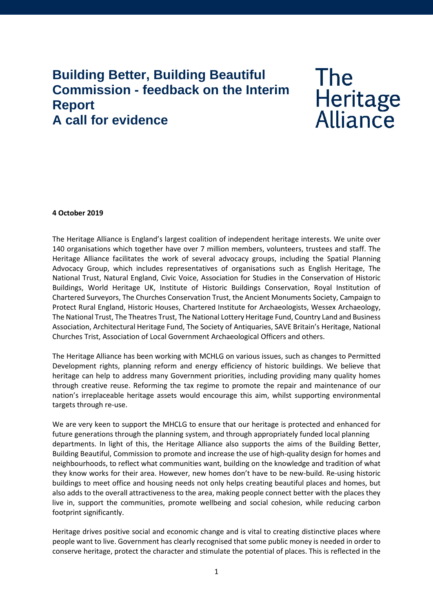## **Building Better, Building Beautiful Commission - feedback on the Interim Report A call for evidence**

# **The** Heritage<br>Alliance

#### **4 October 2019**

The Heritage Alliance is England's largest coalition of independent heritage interests. We unite over 140 organisations which together have over 7 million members, volunteers, trustees and staff. The Heritage Alliance facilitates the work of several advocacy groups, including the Spatial Planning Advocacy Group, which includes representatives of organisations such as English Heritage, The National Trust, Natural England, Civic Voice, Association for Studies in the Conservation of Historic Buildings, World Heritage UK, Institute of Historic Buildings Conservation, Royal Institution of Chartered Surveyors, The Churches Conservation Trust, the Ancient Monuments Society, Campaign to Protect Rural England, Historic Houses, Chartered Institute for Archaeologists, Wessex Archaeology, The National Trust, The Theatres Trust, The National Lottery Heritage Fund, Country Land and Business Association, Architectural Heritage Fund, The Society of Antiquaries, SAVE Britain's Heritage, National Churches Trist, Association of Local Government Archaeological Officers and others.

The Heritage Alliance has been working with MCHLG on various issues, such as changes to Permitted Development rights, planning reform and energy efficiency of historic buildings. We believe that heritage can help to address many Government priorities, including providing many quality homes through creative reuse. Reforming the tax regime to promote the repair and maintenance of our nation's irreplaceable heritage assets would encourage this aim, whilst supporting environmental targets through re-use.

We are very keen to support the MHCLG to ensure that our heritage is protected and enhanced for future generations through the planning system, and through appropriately funded local planning departments. In light of this, the Heritage Alliance also supports the aims of the Building Better, Building Beautiful, Commission to promote and increase the use of high-quality design for homes and neighbourhoods, to reflect what communities want, building on the knowledge and tradition of what they know works for their area. However, new homes don't have to be new-build. Re-using historic buildings to meet office and housing needs not only helps creating beautiful places and homes, but also adds to the overall attractiveness to the area, making people connect better with the places they live in, support the communities, promote wellbeing and social cohesion, while reducing carbon footprint significantly.

Heritage drives positive social and economic change and is vital to creating distinctive places where people want to live. Government has clearly recognised that some public money is needed in order to conserve heritage, protect the character and stimulate the potential of places. This is reflected in the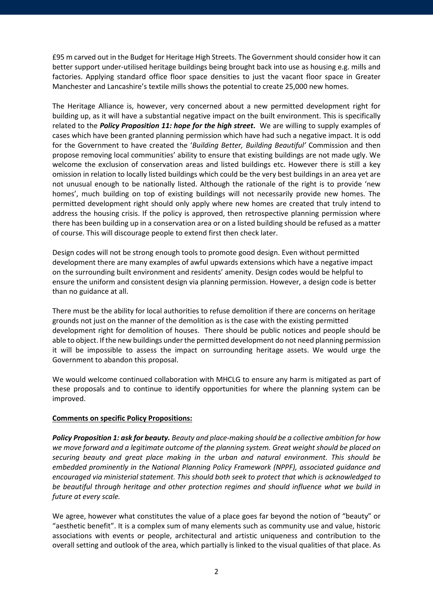£95 m carved out in the Budget for Heritage High Streets. The Government should consider how it can better support under-utilised heritage buildings being brought back into use as housing e.g. mills and factories. Applying standard office floor space densities to just the vacant floor space in Greater Manchester and Lancashire's textile mills shows the potential to create 25,000 new homes.

The Heritage Alliance is, however, very concerned about a new permitted development right for building up, as it will have a substantial negative impact on the built environment. This is specifically related to the *Policy Proposition 11: hope for the high street***.** We are willing to supply examples of cases which have been granted planning permission which have had such a negative impact. It is odd for the Government to have created the '*Building Better, Building Beautiful'* Commission and then propose removing local communities' ability to ensure that existing buildings are not made ugly. We welcome the exclusion of conservation areas and listed buildings etc. However there is still a key omission in relation to locally listed buildings which could be the very best buildings in an area yet are not unusual enough to be nationally listed. Although the rationale of the right is to provide 'new homes', much building on top of existing buildings will not necessarily provide new homes. The permitted development right should only apply where new homes are created that truly intend to address the housing crisis. If the policy is approved, then retrospective planning permission where there has been building up in a conservation area or on a listed building should be refused as a matter of course. This will discourage people to extend first then check later.

Design codes will not be strong enough tools to promote good design. Even without permitted development there are many examples of awful upwards extensions which have a negative impact on the surrounding built environment and residents' amenity. Design codes would be helpful to ensure the uniform and consistent design via planning permission. However, a design code is better than no guidance at all.

There must be the ability for local authorities to refuse demolition if there are concerns on heritage grounds not just on the manner of the demolition as is the case with the existing permitted development right for demolition of houses. There should be public notices and people should be able to object. If the new buildings under the permitted development do not need planning permission it will be impossible to assess the impact on surrounding heritage assets. We would urge the Government to abandon this proposal.

We would welcome continued collaboration with MHCLG to ensure any harm is mitigated as part of these proposals and to continue to identify opportunities for where the planning system can be improved.

### **Comments on specific Policy Propositions:**

*Policy Proposition 1: ask for beauty. Beauty and place-making should be a collective ambition for how we move forward and a legitimate outcome of the planning system. Great weight should be placed on securing beauty and great place making in the urban and natural environment. This should be embedded prominently in the National Planning Policy Framework (NPPF), associated guidance and encouraged via ministerial statement. This should both seek to protect that which is acknowledged to be beautiful through heritage and other protection regimes and should influence what we build in future at every scale.*

We agree, however what constitutes the value of a place goes far beyond the notion of "beauty" or "aesthetic benefit". It is a complex sum of many elements such as community use and value, historic associations with events or people, architectural and artistic uniqueness and contribution to the overall setting and outlook of the area, which partially is linked to the visual qualities of that place. As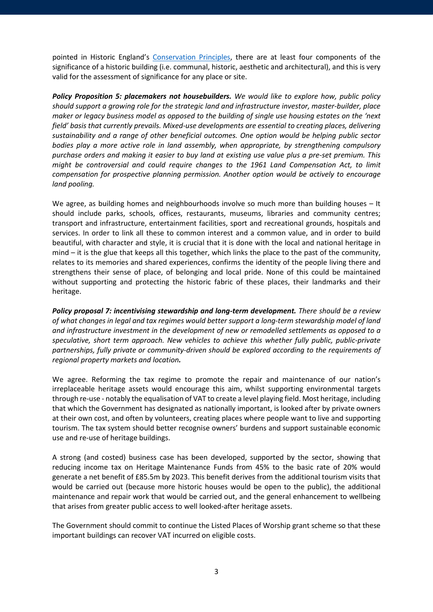pointed in Historic England's [Conservation Principles,](https://historicengland.org.uk/images-books/publications/conservation-principles-sustainable-management-historic-environment/) there are at least four components of the significance of a historic building (i.e. communal, historic, aesthetic and architectural), and this is very valid for the assessment of significance for any place or site.

*Policy Proposition 5: placemakers not housebuilders. We would like to explore how, public policy should support a growing role for the strategic land and infrastructure investor, master-builder, place maker or legacy business model as opposed to the building of single use housing estates on the 'next field' basis that currently prevails. Mixed-use developments are essential to creating places, delivering sustainability and a range of other beneficial outcomes. One option would be helping public sector bodies play a more active role in land assembly, when appropriate, by strengthening compulsory purchase orders and making it easier to buy land at existing use value plus a pre-set premium. This might be controversial and could require changes to the 1961 Land Compensation Act, to limit compensation for prospective planning permission. Another option would be actively to encourage land pooling.*

We agree, as building homes and neighbourhoods involve so much more than building houses – It should include parks, schools, offices, restaurants, museums, libraries and community centres; transport and infrastructure, entertainment facilities, sport and recreational grounds, hospitals and services. In order to link all these to common interest and a common value, and in order to build beautiful, with character and style, it is crucial that it is done with the local and national heritage in mind – it is the glue that keeps all this together, which links the place to the past of the community, relates to its memories and shared experiences, confirms the identity of the people living there and strengthens their sense of place, of belonging and local pride. None of this could be maintained without supporting and protecting the historic fabric of these places, their landmarks and their heritage.

*Policy proposal 7: incentivising stewardship and long-term development. There should be a review of what changes in legal and tax regimes would better support a long-term stewardship model of land and infrastructure investment in the development of new or remodelled settlements as opposed to a speculative, short term approach. New vehicles to achieve this whether fully public, public-private partnerships, fully private or community-driven should be explored according to the requirements of regional property markets and location.*

We agree. Reforming the tax regime to promote the repair and maintenance of our nation's irreplaceable heritage assets would encourage this aim, whilst supporting environmental targets through re-use - notably the equalisation of VAT to create a level playing field. Most heritage, including that which the Government has designated as nationally important, is looked after by private owners at their own cost, and often by volunteers, creating places where people want to live and supporting tourism. The tax system should better recognise owners' burdens and support sustainable economic use and re-use of heritage buildings.

A strong (and costed) business case has been developed, supported by the sector, showing that reducing income tax on Heritage Maintenance Funds from 45% to the basic rate of 20% would generate a net benefit of £85.5m by 2023. This benefit derives from the additional tourism visits that would be carried out (because more historic houses would be open to the public), the additional maintenance and repair work that would be carried out, and the general enhancement to wellbeing that arises from greater public access to well looked-after heritage assets.

The Government should commit to continue the Listed Places of Worship grant scheme so that these important buildings can recover VAT incurred on eligible costs.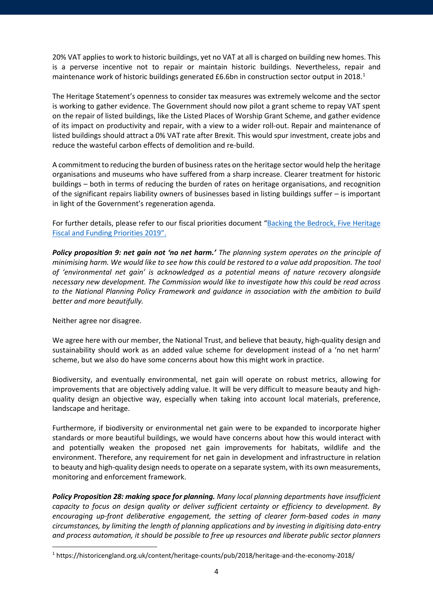20% VAT applies to work to historic buildings, yet no VAT at all is charged on building new homes. This is a perverse incentive not to repair or maintain historic buildings. Nevertheless, repair and maintenance work of historic buildings generated £6.6bn in construction sector output in 20[1](#page-3-0)8.<sup>1</sup>

The Heritage Statement's openness to consider tax measures was extremely welcome and the sector is working to gather evidence. The Government should now pilot a grant scheme to repay VAT spent on the repair of listed buildings, like the Listed Places of Worship Grant Scheme, and gather evidence of its impact on productivity and repair, with a view to a wider roll-out. Repair and maintenance of listed buildings should attract a 0% VAT rate after Brexit. This would spur investment, create jobs and reduce the wasteful carbon effects of demolition and re-build.

A commitment to reducing the burden of business rates on the heritage sector would help the heritage organisations and museums who have suffered from a sharp increase. Clearer treatment for historic buildings – both in terms of reducing the burden of rates on heritage organisations, and recognition of the significant repairs liability owners of businesses based in listing buildings suffer – is important in light of the Government's regeneration agenda.

For further details, please refer to our fiscal priorities document ["Backing the Bedrock, Five Heritage](https://www.theheritagealliance.org.uk/wp-content/uploads/2019/06/Manifesto2019.pdf)  [Fiscal and Funding Priorities 2019".](https://www.theheritagealliance.org.uk/wp-content/uploads/2019/06/Manifesto2019.pdf)

*Policy proposition 9: net gain not 'no net harm.' The planning system operates on the principle of minimising harm. We would like to see how this could be restored to a value add proposition. The tool of 'environmental net gain' is acknowledged as a potential means of nature recovery alongside necessary new development. The Commission would like to investigate how this could be read across to the National Planning Policy Framework and guidance in association with the ambition to build better and more beautifully.*

Neither agree nor disagree.

We agree here with our member, the National Trust, and believe that beauty, high-quality design and sustainability should work as an added value scheme for development instead of a 'no net harm' scheme, but we also do have some concerns about how this might work in practice.

Biodiversity, and eventually environmental, net gain will operate on robust metrics, allowing for improvements that are objectively adding value. It will be very difficult to measure beauty and highquality design an objective way, especially when taking into account local materials, preference, landscape and heritage.

Furthermore, if biodiversity or environmental net gain were to be expanded to incorporate higher standards or more beautiful buildings, we would have concerns about how this would interact with and potentially weaken the proposed net gain improvements for habitats, wildlife and the environment. Therefore, any requirement for net gain in development and infrastructure in relation to beauty and high-quality design needs to operate on a separate system, with its own measurements, monitoring and enforcement framework.

*Policy Proposition 28: making space for planning. Many local planning departments have insufficient capacity to focus on design quality or deliver sufficient certainty or efficiency to development. By encouraging up-front deliberative engagement, the setting of clearer form-based codes in many circumstances, by limiting the length of planning applications and by investing in digitising data-entry and process automation, it should be possible to free up resources and liberate public sector planners* 

<span id="page-3-0"></span><sup>1</sup> https://historicengland.org.uk/content/heritage-counts/pub/2018/heritage-and-the-economy-2018/